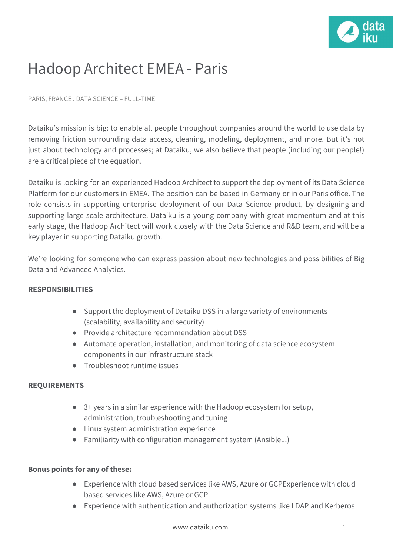

## Hadoop Architect EMEA - Paris

PARIS, FRANCE . DATA SCIENCE – FULL-TIME

Dataiku's mission is big: to enable all people throughout companies around the world to use data by removing friction surrounding data access, cleaning, modeling, deployment, and more. But it's not just about technology and processes; at Dataiku, we also believe that people (including our people!) are a critical piece of the equation.

Dataiku is looking for an experienced Hadoop Architect to support the deployment of its Data Science Platform for our customers in EMEA. The position can be based in Germany or in our Paris office. The role consists in supporting enterprise deployment of our Data Science product, by designing and supporting large scale architecture. Dataiku is a young company with great momentum and at this early stage, the Hadoop Architect will work closely with the Data Science and R&D team, and will be a key player in supporting Dataiku growth.

We're looking for someone who can express passion about new technologies and possibilities of Big Data and Advanced Analytics.

## **RESPONSIBILITIES**

- Support the deployment of Dataiku DSS in a large variety of environments (scalability, availability and security)
- Provide architecture recommendation about DSS
- Automate operation, installation, and monitoring of data science ecosystem components in our infrastructure stack
- Troubleshoot runtime issues

## **REQUIREMENTS**

- 3+ years in a similar experience with the Hadoop ecosystem for setup, administration, troubleshooting and tuning
- Linux system administration experience
- Familiarity with configuration management system (Ansible...)

## **Bonus points for any of these:**

- Experience with cloud based services like AWS, Azure or GCPExperience with cloud based services like AWS, Azure or GCP
- Experience with authentication and authorization systems like LDAP and Kerberos